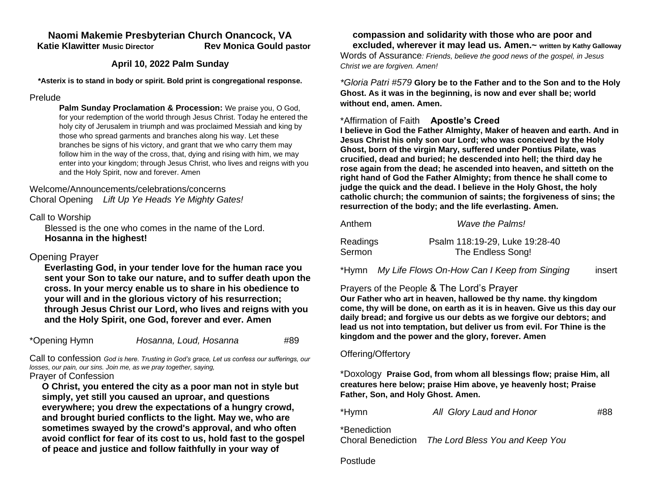#### **Naomi Makemie Presbyterian Church Onancock, VA Katie Klawitter Music Director Rev Monica Gould pastor**

#### **April 10, 2022 Palm Sunday**

**\*Asterix is to stand in body or spirit. Bold print is congregational response.**

#### Prelude

**Palm Sunday Proclamation & Procession:** We praise you, O God, for your redemption of the world through Jesus Christ. Today he entered the holy city of Jerusalem in triumph and was proclaimed Messiah and king by those who spread garments and branches along his way. Let these branches be signs of his victory, and grant that we who carry them may follow him in the way of the cross, that, dying and rising with him, we may enter into your kingdom; through Jesus Christ, who lives and reigns with you and the Holy Spirit, now and forever. Amen

#### Welcome/Announcements/celebrations/concerns Choral Opening *Lift Up Ye Heads Ye Mighty Gates!*

Call to Worship

 Blessed is the one who comes in the name of the Lord. **Hosanna in the highest!**

# Opening Prayer

**Everlasting God, in your tender love for the human race you sent your Son to take our nature, and to suffer death upon the cross. In your mercy enable us to share in his obedience to your will and in the glorious victory of his resurrection; through Jesus Christ our Lord, who lives and reigns with you and the Holy Spirit, one God, forever and ever. Amen**

| *Opening Hymn | Hosanna, Loud, Hosanna | #89 |
|---------------|------------------------|-----|
|---------------|------------------------|-----|

Call to confession *God is here. Trusting in God's grace, Let us confess our sufferings, our losses, our pain, our sins. Join me, as we pray together, saying,* Prayer of Confession

**O Christ, you entered the city as a poor man not in style but simply, yet still you caused an uproar, and questions everywhere; you drew the expectations of a hungry crowd, and brought buried conflicts to the light. May we, who are sometimes swayed by the crowd's approval, and who often avoid conflict for fear of its cost to us, hold fast to the gospel of peace and justice and follow faithfully in your way of** 

# **compassion and solidarity with those who are poor and**

**excluded, wherever it may lead us. Amen.~ written by Kathy Galloway** Words of Assurance*: Friends, believe the good news of the gospel, in Jesus Christ we are forgiven. Amen!*

*\*Gloria Patri #579* **Glory be to the Father and to the Son and to the Holy Ghost. As it was in the beginning, is now and ever shall be; world without end, amen. Amen.** 

## \*Affirmation of Faith **Apostle's Creed**

**I believe in God the Father Almighty, Maker of heaven and earth. And in Jesus Christ his only son our Lord; who was conceived by the Holy Ghost, born of the virgin Mary, suffered under Pontius Pilate, was crucified, dead and buried; he descended into hell; the third day he rose again from the dead; he ascended into heaven, and sitteth on the right hand of God the Father Almighty; from thence he shall come to judge the quick and the dead. I believe in the Holy Ghost, the holy catholic church; the communion of saints; the forgiveness of sins; the resurrection of the body; and the life everlasting. Amen.**

| Anthem   | Wave the Palms!                |
|----------|--------------------------------|
| Readings | Psalm 118:19-29, Luke 19:28-40 |
| Sermon   | The Endless Song!              |

\*Hymn *My Life Flows On-How Can I Keep from Singing*insert

# Prayers of the People & The Lord's Prayer

**Our Father who art in heaven, hallowed be thy name. thy kingdom come, thy will be done, on earth as it is in heaven. Give us this day our daily bread; and forgive us our debts as we forgive our debtors; and lead us not into temptation, but deliver us from evil. For Thine is the kingdom and the power and the glory, forever. Amen**

### Offering/Offertory

\*Doxology **Praise God, from whom all blessings flow; praise Him, all creatures here below; praise Him above, ye heavenly host; Praise Father, Son, and Holy Ghost. Amen.** 

| *Hymn | All Glory Laud and Honor | #88 |
|-------|--------------------------|-----|
|-------|--------------------------|-----|

\*Benediction

Choral Benediction *The Lord Bless You and Keep You*

Postlude